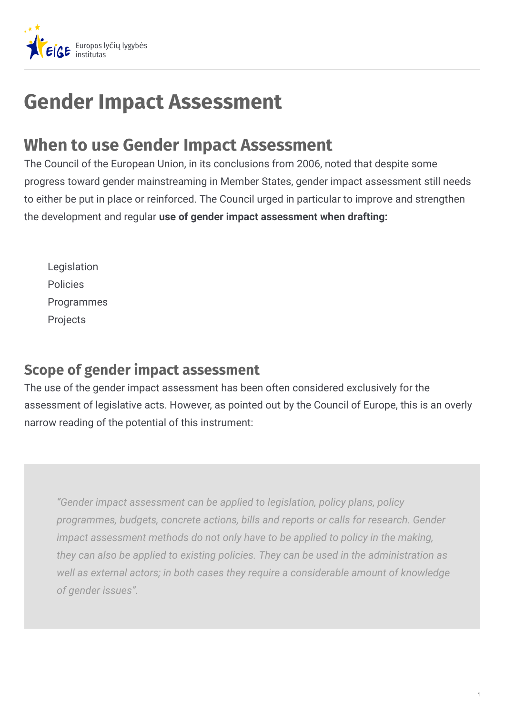

# **Gender Impact Assessment**

## **When to use Gender Impact Assessment**

The Council of the European Union, in its conclusions from 2006, noted that despite some progress toward gender mainstreaming in Member States, gender impact assessment still needs to either be put in place or reinforced. The Council urged in particular to improve and strengthen the development and regular **use of gender impact assessment when drafting:**

Legislation Policies **Programmes** Projects

### **Scope of gender impact assessment**

The use of the gender impact assessment has been often considered exclusively for the assessment of legislative acts. However, as pointed out by the Council of Europe, this is an overly narrow reading of the potential of this instrument:

*"Gender impact assessment can be applied to legislation, policy plans, policy programmes, budgets, concrete actions, bills and reports or calls for research. Gender impact assessment methods do not only have to be applied to policy in the making, they can also be applied to existing policies. They can be used in the administration as well as external actors; in both cases they require a considerable amount of knowledge of gender issues".*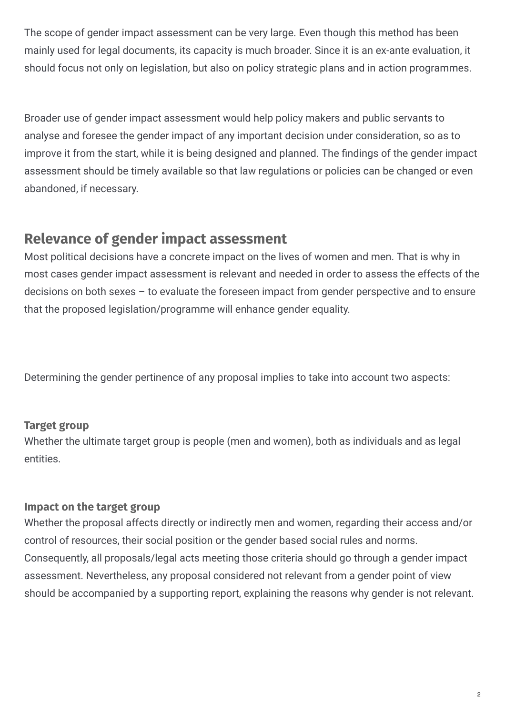The scope of gender impact assessment can be very large. Even though this method has been mainly used for legal documents, its capacity is much broader. Since it is an ex-ante evaluation, it should focus not only on legislation, but also on policy strategic plans and in action programmes.

Broader use of gender impact assessment would help policy makers and public servants to analyse and foresee the gender impact of any important decision under consideration, so as to improve it from the start, while it is being designed and planned. The findings of the gender impact assessment should be timely available so that law regulations or policies can be changed or even abandoned, if necessary.

## **Relevance of gender impact assessment**

Most political decisions have a concrete impact on the lives of women and men. That is why in most cases gender impact assessment is relevant and needed in order to assess the effects of the decisions on both sexes – to evaluate the foreseen impact from gender perspective and to ensure that the proposed legislation/programme will enhance gender equality.

Determining the gender pertinence of any proposal implies to take into account two aspects:

#### **Target group**

Whether the ultimate target group is people (men and women), both as individuals and as legal entities.

#### **Impact on the target group**

Consequently, all proposals/legal acts meeting those criteria should go through a gender impact assessment. Nevertheless, any proposal considered not relevant from a gender point of view should be accompanied by a supporting report, explaining the reasons why gender is not relevant. Whether the proposal affects directly or indirectly men and women, regarding their access and/or control of resources, their social position or the gender based social rules and norms.